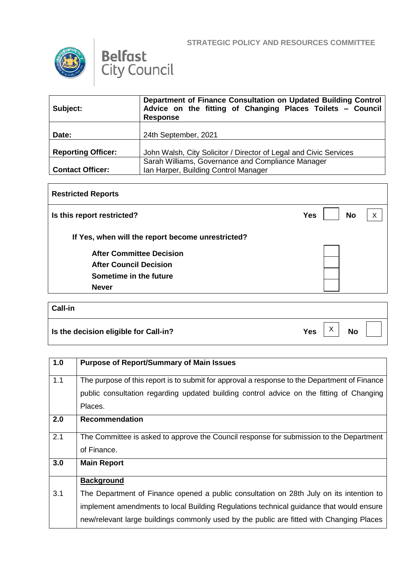**STRATEGIC POLICY AND RESOURCES COMMITTEE**





| Subject:                  | Department of Finance Consultation on Updated Building Control<br>Advice on the fitting of Changing Places Toilets - Council<br><b>Response</b> |
|---------------------------|-------------------------------------------------------------------------------------------------------------------------------------------------|
| Date:                     | 24th September, 2021                                                                                                                            |
| <b>Reporting Officer:</b> | John Walsh, City Solicitor / Director of Legal and Civic Services                                                                               |
|                           | Sarah Williams, Governance and Compliance Manager                                                                                               |
| <b>Contact Officer:</b>   | Ian Harper, Building Control Manager                                                                                                            |

| <b>Restricted Reports</b>                         |                         |   |
|---------------------------------------------------|-------------------------|---|
| Is this report restricted?                        | <b>No</b><br><b>Yes</b> | X |
| If Yes, when will the report become unrestricted? |                         |   |
| <b>After Committee Decision</b>                   |                         |   |
| <b>After Council Decision</b>                     |                         |   |
| Sometime in the future                            |                         |   |
| <b>Never</b>                                      |                         |   |
|                                                   |                         |   |
| Call-in                                           |                         |   |

| Is the decision eligible for Call-in? | Yes |  |  |
|---------------------------------------|-----|--|--|

| 1.0 | <b>Purpose of Report/Summary of Main Issues</b>                                              |
|-----|----------------------------------------------------------------------------------------------|
| 1.1 | The purpose of this report is to submit for approval a response to the Department of Finance |
|     | public consultation regarding updated building control advice on the fitting of Changing     |
|     | Places.                                                                                      |
| 2.0 | <b>Recommendation</b>                                                                        |
| 2.1 | The Committee is asked to approve the Council response for submission to the Department      |
|     | of Finance.                                                                                  |
| 3.0 | <b>Main Report</b>                                                                           |
|     | <b>Background</b>                                                                            |
| 3.1 | The Department of Finance opened a public consultation on 28th July on its intention to      |
|     | implement amendments to local Building Regulations technical guidance that would ensure      |
|     | new/relevant large buildings commonly used by the public are fitted with Changing Places     |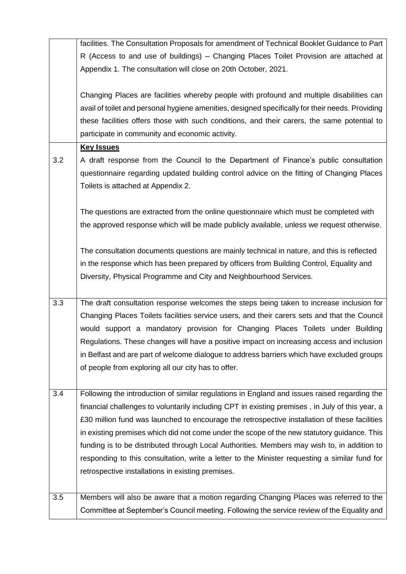|     | facilities. The Consultation Proposals for amendment of Technical Booklet Guidance to Part       |
|-----|--------------------------------------------------------------------------------------------------|
|     | R (Access to and use of buildings) – Changing Places Toilet Provision are attached at            |
|     | Appendix 1. The consultation will close on 20th October, 2021.                                   |
|     |                                                                                                  |
|     | Changing Places are facilities whereby people with profound and multiple disabilities can        |
|     | avail of toilet and personal hygiene amenities, designed specifically for their needs. Providing |
|     | these facilities offers those with such conditions, and their carers, the same potential to      |
|     | participate in community and economic activity.                                                  |
|     | <b>Key Issues</b>                                                                                |
| 3.2 | A draft response from the Council to the Department of Finance's public consultation             |
|     | questionnaire regarding updated building control advice on the fitting of Changing Places        |
|     | Toilets is attached at Appendix 2.                                                               |
|     |                                                                                                  |
|     | The questions are extracted from the online questionnaire which must be completed with           |
|     | the approved response which will be made publicly available, unless we request otherwise.        |
|     |                                                                                                  |
|     | The consultation documents questions are mainly technical in nature, and this is reflected       |
|     | in the response which has been prepared by officers from Building Control, Equality and          |
|     | Diversity, Physical Programme and City and Neighbourhood Services.                               |
|     |                                                                                                  |
| 3.3 | The draft consultation response welcomes the steps being taken to increase inclusion for         |
|     | Changing Places Toilets facilities service users, and their carers sets and that the Council     |
|     | would support a mandatory provision for Changing Places Toilets under Building                   |
|     | Regulations. These changes will have a positive impact on increasing access and inclusion        |
|     | in Belfast and are part of welcome dialogue to address barriers which have excluded groups       |
|     | of people from exploring all our city has to offer.                                              |
|     |                                                                                                  |
| 3.4 | Following the introduction of similar regulations in England and issues raised regarding the     |
|     | financial challenges to voluntarily including CPT in existing premises, in July of this year, a  |
|     | £30 million fund was launched to encourage the retrospective installation of these facilities    |
|     | in existing premises which did not come under the scope of the new statutory guidance. This      |
|     | funding is to be distributed through Local Authorities. Members may wish to, in addition to      |
|     | responding to this consultation, write a letter to the Minister requesting a similar fund for    |
|     | retrospective installations in existing premises.                                                |
|     |                                                                                                  |
| 3.5 | Members will also be aware that a motion regarding Changing Places was referred to the           |
|     | Committee at September's Council meeting. Following the service review of the Equality and       |
|     |                                                                                                  |